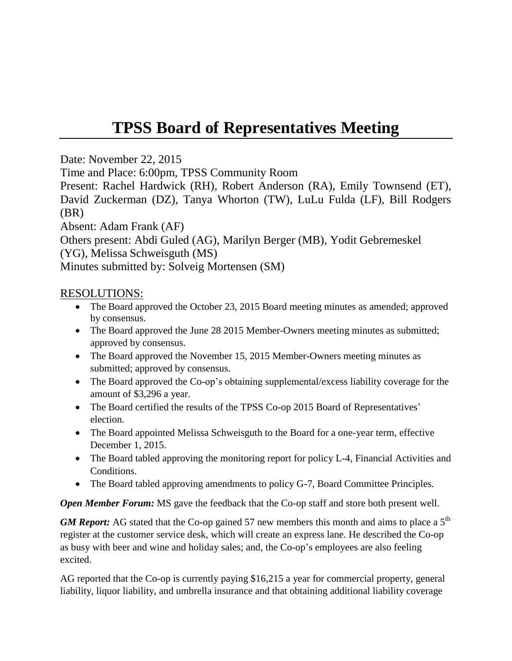## **TPSS Board of Representatives Meeting**

Date: November 22, 2015

Time and Place: 6:00pm, TPSS Community Room

Present: Rachel Hardwick (RH), Robert Anderson (RA), Emily Townsend (ET), David Zuckerman (DZ), Tanya Whorton (TW), LuLu Fulda (LF), Bill Rodgers (BR)

Absent: Adam Frank (AF)

Others present: Abdi Guled (AG), Marilyn Berger (MB), Yodit Gebremeskel (YG), Melissa Schweisguth (MS)

Minutes submitted by: Solveig Mortensen (SM)

## RESOLUTIONS:

- The Board approved the October 23, 2015 Board meeting minutes as amended; approved by consensus.
- The Board approved the June 28 2015 Member-Owners meeting minutes as submitted; approved by consensus.
- The Board approved the November 15, 2015 Member-Owners meeting minutes as submitted; approved by consensus.
- The Board approved the Co-op's obtaining supplemental/excess liability coverage for the amount of \$3,296 a year.
- The Board certified the results of the TPSS Co-op 2015 Board of Representatives' election.
- The Board appointed Melissa Schweisguth to the Board for a one-year term, effective December 1, 2015.
- The Board tabled approving the monitoring report for policy L-4, Financial Activities and Conditions.
- The Board tabled approving amendments to policy G-7, Board Committee Principles.

*Open Member Forum:* MS gave the feedback that the Co-op staff and store both present well.

*GM Report:* AG stated that the Co-op gained 57 new members this month and aims to place a 5<sup>th</sup> register at the customer service desk, which will create an express lane. He described the Co-op as busy with beer and wine and holiday sales; and, the Co-op's employees are also feeling excited.

AG reported that the Co-op is currently paying \$16,215 a year for commercial property, general liability, liquor liability, and umbrella insurance and that obtaining additional liability coverage